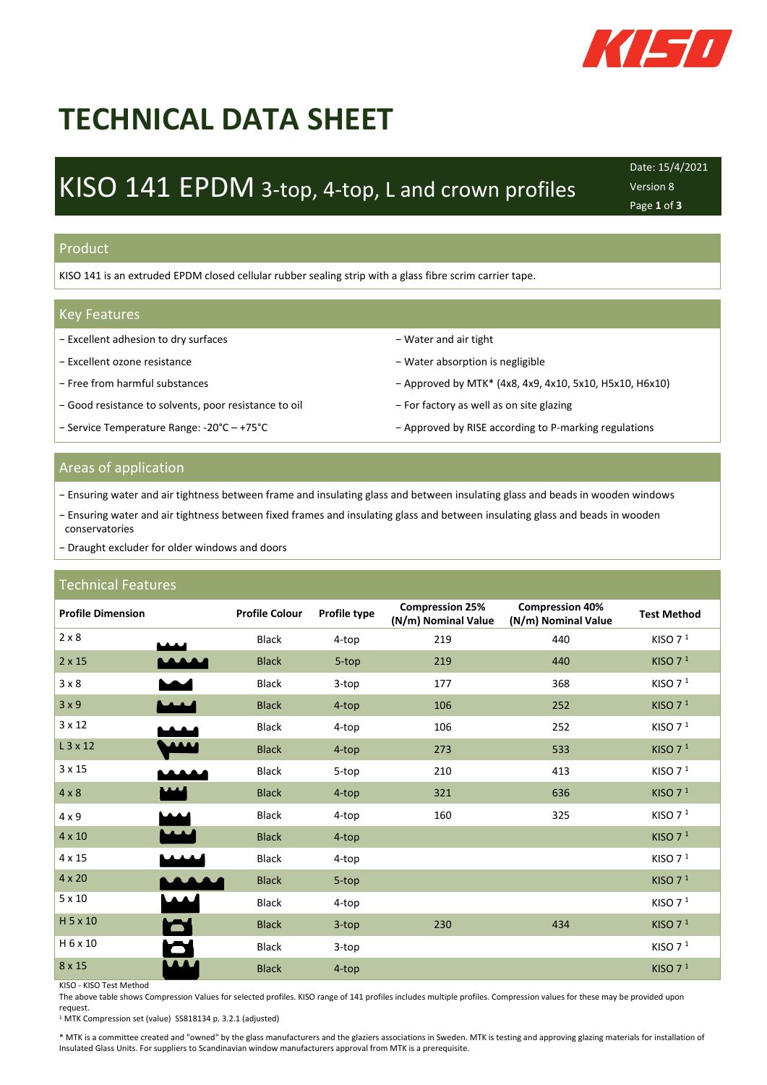

# **TECHNICAL DATA SHEET**

# KISO 141 EPDM 3-top, 4-top, L and crown profiles

Date: 15/4/2021 Version 8 Page **1** of **3**

#### Product

KISO 141 is an extruded EPDM closed cellular rubber sealing strip with a glass fibre scrim carrier tape.

#### Key Features

- − Excellent adhesion to dry surfaces − Water and air tight
- 
- 
- − Good resistance to solvents, poor resistance to oil − For factory as well as on site glazing
- 
- 
- − Excellent ozone resistance − Water absorption is negligible
- − Free from harmful substances Approved by MTK\* (4x8, 4x9, 4x10, 5x10, H5x10, H6x10)
	-
- − Service Temperature Range: -20°C − +75°C → → → Approved by RISE according to P-marking regulations

### Areas of application

- − Ensuring water and air tightness between frame and insulating glass and between insulating glass and beads in wooden windows
- − Ensuring water and air tightness between fixed frames and insulating glass and between insulating glass and beads in wooden conservatories
- − Draught excluder for older windows and doors

### Technical Features

| <b>Profile Dimension</b> |                  | <b>Profile Colour</b> | Profile type | <b>Compression 25%</b><br>(N/m) Nominal Value | <b>Compression 40%</b><br>(N/m) Nominal Value | <b>Test Method</b> |
|--------------------------|------------------|-----------------------|--------------|-----------------------------------------------|-----------------------------------------------|--------------------|
| 2 × 8                    |                  | Black                 | 4-top        | 219                                           | 440                                           | KISO $71$          |
| $2 \times 15$            |                  | <b>Black</b>          | 5-top        | 219                                           | 440                                           | KISO $71$          |
| 3 × 8                    |                  | Black                 | 3-top        | 177                                           | 368                                           | KISO $71$          |
| 3x9                      |                  | <b>Black</b>          | 4-top        | 106                                           | 252                                           | KISO $71$          |
| $3 \times 12$            |                  | Black                 | 4-top        | 106                                           | 252                                           | KISO $71$          |
| L 3 x 12                 |                  | <b>Black</b>          | 4-top        | 273                                           | 533                                           | KISO $71$          |
| $3 \times 15$            |                  | Black                 | 5-top        | 210                                           | 413                                           | KISO $71$          |
| $4 \times 8$             |                  | <b>Black</b>          | 4-top        | 321                                           | 636                                           | KISO $71$          |
| $4 \times 9$             |                  | <b>Black</b>          | 4-top        | 160                                           | 325                                           | KISO $71$          |
| $4 \times 10$            |                  | <b>Black</b>          | 4-top        |                                               |                                               | KISO $71$          |
| 4 x 15                   |                  | <b>Black</b>          | 4-top        |                                               |                                               | KISO $71$          |
| $4 \times 20$            | <b>ANY</b>       | <b>Black</b>          | 5-top        |                                               |                                               | KISO $71$          |
| $5 \times 10$            |                  | Black                 | 4-top        |                                               |                                               | KISO $71$          |
| H 5 x 10                 | $\blacktriangle$ | <b>Black</b>          | 3-top        | 230                                           | 434                                           | KISO $71$          |
| H 6 x 10                 | $\blacktriangle$ | <b>Black</b>          | $3$ -top     |                                               |                                               | KISO $71$          |
| 8 x 15                   | $\bf{M}$         | <b>Black</b>          | 4-top        |                                               |                                               | KISO $71$          |

KISO - KISO Test Method

The above table shows Compression Values for selected profiles. KISO range of 141 profiles includes multiple profiles. Compression values for these may be provided upon request.

<sup>1</sup> MTK Compression set (value) SS818134 p. 3.2.1 (adjusted)

\* MTK is a committee created and "owned" by the glass manufacturers and the glaziers associations in Sweden. MTK is testing and approving glazing materials for installation of Insulated Glass Units. For suppliers to Scandinavian window manufacturers approval from MTK is a prerequisite.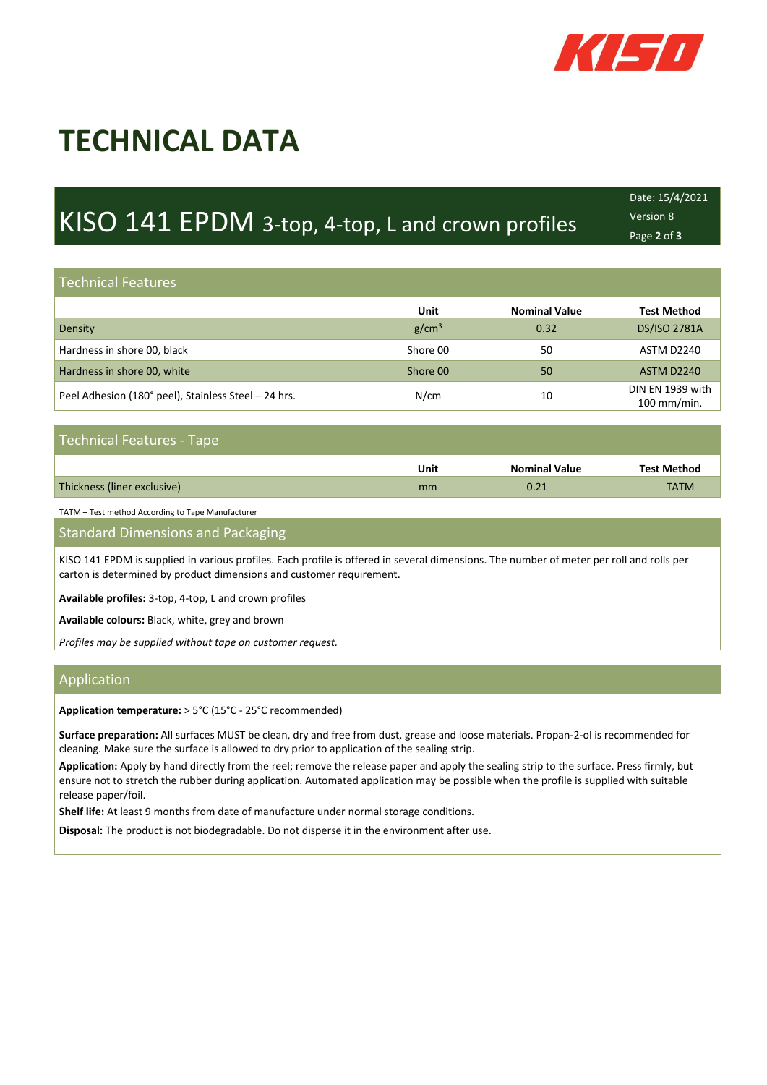

# **TECHNICAL DATA**

# KISO 141 EPDM 3-top, 4-top, L and crown profiles

Technical

Date: 15/4/2021 Version 8 Page **2** of **3**

Technical

#### Technical Features Technical **Technical Features**

**SHEET**

|                                                      | Unit              | <b>Nominal Value</b> | <b>Test Method</b>              |
|------------------------------------------------------|-------------------|----------------------|---------------------------------|
| Density                                              | g/cm <sup>3</sup> | 0.32                 | <b>DS/ISO 2781A</b>             |
| Hardness in shore 00, black                          | Shore 00          | 50                   | ASTM D2240                      |
| Hardness in shore 00, white                          | Shore 00          | 50                   | <b>ASTM D2240</b>               |
| Peel Adhesion (180° peel), Stainless Steel - 24 hrs. | N/cm              | 10                   | DIN EN 1939 with<br>100 mm/min. |

Technical

Technical

# Technical Features - Tape

|                             | Unit | <b>Nominal Value</b> | <b>Test Method</b> |
|-----------------------------|------|----------------------|--------------------|
| Thickness (liner exclusive) | mm   | า ว 1<br>J.ZI        | <b>TATM</b>        |

TATM – Test method According to Tape Manufacturer

**Standard Dimensions and Packaging** 

KISO 141 EPDM is supplied in various profiles. Each profile is offered in several dimensions. The number of meter per roll and rolls per carton is determined by product dimensions and customer requirement.

**Available profiles:** 3-top, 4-top, L and crown profiles

**Available colours:** Black, white, grey and brown

*Profiles may be supplied without tape on customer request.*

#### Application

**Application temperature:** > 5°C (15°C - 25°C recommended)

**Surface preparation:** All surfaces MUST be clean, dry and free from dust, grease and loose materials. Propan-2-ol is recommended for cleaning. Make sure the surface is allowed to dry prior to application of the sealing strip.

**Application:** Apply by hand directly from the reel; remove the release paper and apply the sealing strip to the surface. Press firmly, but ensure not to stretch the rubber during application. Automated application may be possible when the profile is supplied with suitable release paper/foil.

**Shelf life:** At least 9 months from date of manufacture under normal storage conditions.

**Disposal:** The product is not biodegradable. Do not disperse it in the environment after use.